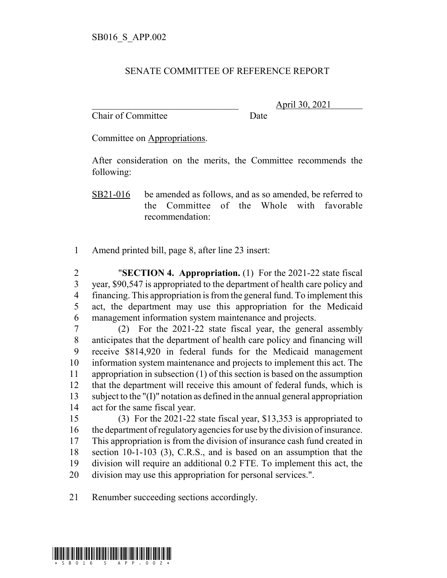## SENATE COMMITTEE OF REFERENCE REPORT

Chair of Committee Date

\_\_\_\_\_\_\_\_\_\_\_\_\_\_\_\_\_\_\_\_\_\_\_\_\_\_\_\_\_\_\_ April 30, 2021

Committee on Appropriations.

After consideration on the merits, the Committee recommends the following:

SB21-016 be amended as follows, and as so amended, be referred to the Committee of the Whole with favorable recommendation:

Amend printed bill, page 8, after line 23 insert:

 "**SECTION 4. Appropriation.** (1) For the 2021-22 state fiscal year, \$90,547 is appropriated to the department of health care policy and financing. This appropriation is from the general fund. To implement this act, the department may use this appropriation for the Medicaid management information system maintenance and projects.

 (2) For the 2021-22 state fiscal year, the general assembly anticipates that the department of health care policy and financing will receive \$814,920 in federal funds for the Medicaid management information system maintenance and projects to implement this act. The appropriation in subsection (1) of this section is based on the assumption that the department will receive this amount of federal funds, which is subject to the "(I)" notation as defined in the annual general appropriation act for the same fiscal year.

 (3) For the 2021-22 state fiscal year, \$13,353 is appropriated to the department of regulatory agencies for use by the division of insurance. This appropriation is from the division of insurance cash fund created in section 10-1-103 (3), C.R.S., and is based on an assumption that the division will require an additional 0.2 FTE. To implement this act, the division may use this appropriation for personal services.".

Renumber succeeding sections accordingly.